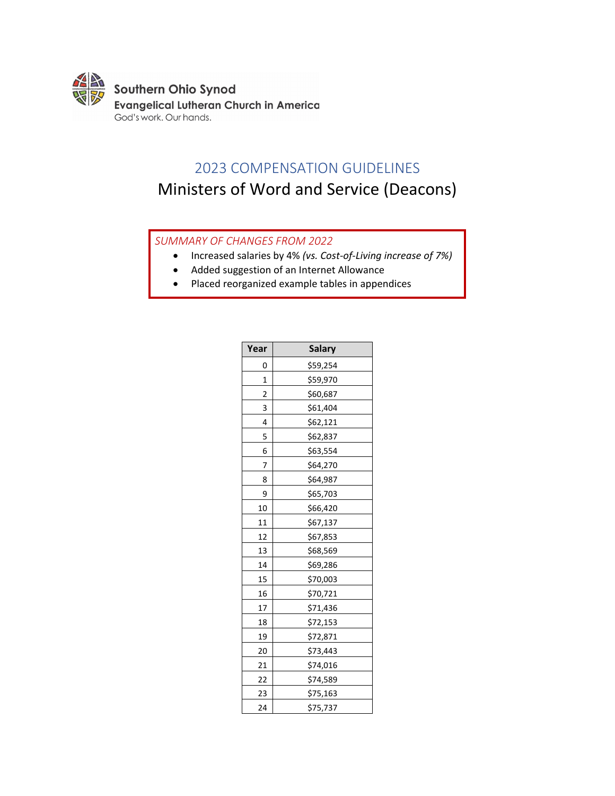

## 2023 COMPENSATION GUIDELINES

# Ministers of Word and Service (Deacons)

### *SUMMARY OF CHANGES FROM 2022*

- Increased salaries by 4% *(vs. Cost-of-Living increase of 7%)*
- Added suggestion of an Internet Allowance
- Placed reorganized example tables in appendices

| Year                    | <b>Salary</b> |  |  |
|-------------------------|---------------|--|--|
| 0                       | \$59,254      |  |  |
| 1                       | \$59,970      |  |  |
| $\overline{\mathbf{c}}$ | \$60,687      |  |  |
| 3                       | \$61,404      |  |  |
| 4                       | \$62,121      |  |  |
| 5                       | \$62,837      |  |  |
| 6                       | \$63,554      |  |  |
| 7                       | \$64,270      |  |  |
| 8                       | \$64,987      |  |  |
| 9                       | \$65,703      |  |  |
| 10                      | \$66,420      |  |  |
| 11                      | \$67,137      |  |  |
| 12                      | \$67,853      |  |  |
| 13                      | \$68,569      |  |  |
| 14                      | \$69,286      |  |  |
| 15                      | \$70,003      |  |  |
| 16                      | \$70,721      |  |  |
| 17                      | \$71,436      |  |  |
| 18                      | \$72,153      |  |  |
| 19                      | \$72,871      |  |  |
| 20                      | \$73,443      |  |  |
| 21                      | \$74,016      |  |  |
| 22                      | \$74,589      |  |  |
| 23                      | \$75,163      |  |  |
| 24                      | \$75,737      |  |  |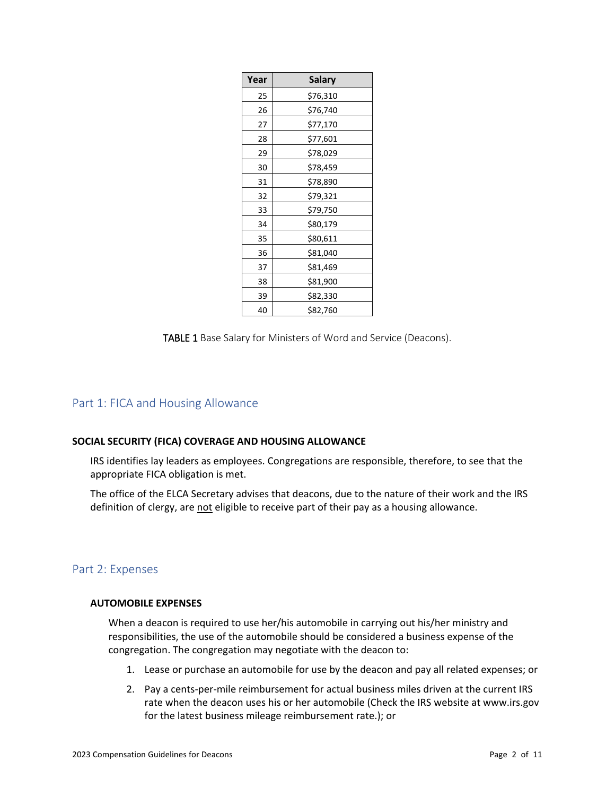| Year           | <b>Salary</b> |  |
|----------------|---------------|--|
| 25             | \$76,310      |  |
| 26             | \$76,740      |  |
| 27             | \$77,170      |  |
| 28             | \$77,601      |  |
| 29<br>\$78,029 |               |  |
| 30             | \$78,459      |  |
| 31             | \$78,890      |  |
| 32             | \$79,321      |  |
| 33             | \$79,750      |  |
| 34             | \$80,179      |  |
| 35             | \$80,611      |  |
| 36             | \$81,040      |  |
| 37             | \$81,469      |  |
| 38             | \$81,900      |  |
| 39             | \$82,330      |  |
| 40             | \$82,760      |  |

TABLE 1 Base Salary for Ministers of Word and Service (Deacons).

### Part 1: FICA and Housing Allowance

### **SOCIAL SECURITY (FICA) COVERAGE AND HOUSING ALLOWANCE**

IRS identifies lay leaders as employees. Congregations are responsible, therefore, to see that the appropriate FICA obligation is met.

The office of the ELCA Secretary advises that deacons, due to the nature of their work and the IRS definition of clergy, are not eligible to receive part of their pay as a housing allowance.

### Part 2: Expenses

### **AUTOMOBILE EXPENSES**

When a deacon is required to use her/his automobile in carrying out his/her ministry and responsibilities, the use of the automobile should be considered a business expense of the congregation. The congregation may negotiate with the deacon to:

- 1. Lease or purchase an automobile for use by the deacon and pay all related expenses; or
- 2. Pay a cents-per-mile reimbursement for actual business miles driven at the current IRS rate when the deacon uses his or her automobile (Check the IRS website at www.irs.gov for the latest business mileage reimbursement rate.); or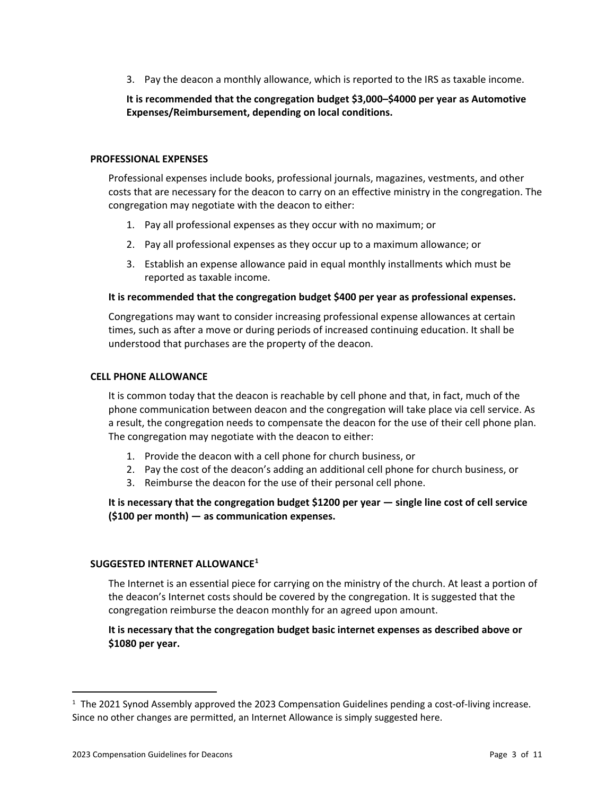3. Pay the deacon a monthly allowance, which is reported to the IRS as taxable income.

### **It is recommended that the congregation budget \$3,000–\$4000 per year as Automotive Expenses/Reimbursement, depending on local conditions.**

### **PROFESSIONAL EXPENSES**

Professional expenses include books, professional journals, magazines, vestments, and other costs that are necessary for the deacon to carry on an effective ministry in the congregation. The congregation may negotiate with the deacon to either:

- 1. Pay all professional expenses as they occur with no maximum; or
- 2. Pay all professional expenses as they occur up to a maximum allowance; or
- 3. Establish an expense allowance paid in equal monthly installments which must be reported as taxable income.

### **It is recommended that the congregation budget \$400 per year as professional expenses.**

Congregations may want to consider increasing professional expense allowances at certain times, such as after a move or during periods of increased continuing education. It shall be understood that purchases are the property of the deacon.

### **CELL PHONE ALLOWANCE**

It is common today that the deacon is reachable by cell phone and that, in fact, much of the phone communication between deacon and the congregation will take place via cell service. As a result, the congregation needs to compensate the deacon for the use of their cell phone plan. The congregation may negotiate with the deacon to either:

- 1. Provide the deacon with a cell phone for church business, or
- 2. Pay the cost of the deacon's adding an additional cell phone for church business, or
- 3. Reimburse the deacon for the use of their personal cell phone.

**It is necessary that the congregation budget \$1200 per year — single line cost of cell service (\$100 per month) — as communication expenses.**

### **SUGGESTED INTERNET ALLOWANCE[1](#page-2-0)**

The Internet is an essential piece for carrying on the ministry of the church. At least a portion of the deacon's Internet costs should be covered by the congregation. It is suggested that the congregation reimburse the deacon monthly for an agreed upon amount.

**It is necessary that the congregation budget basic internet expenses as described above or \$1080 per year.**

 $\overline{a}$ 

<span id="page-2-0"></span> $1$  The 2021 Synod Assembly approved the 2023 Compensation Guidelines pending a cost-of-living increase. Since no other changes are permitted, an Internet Allowance is simply suggested here.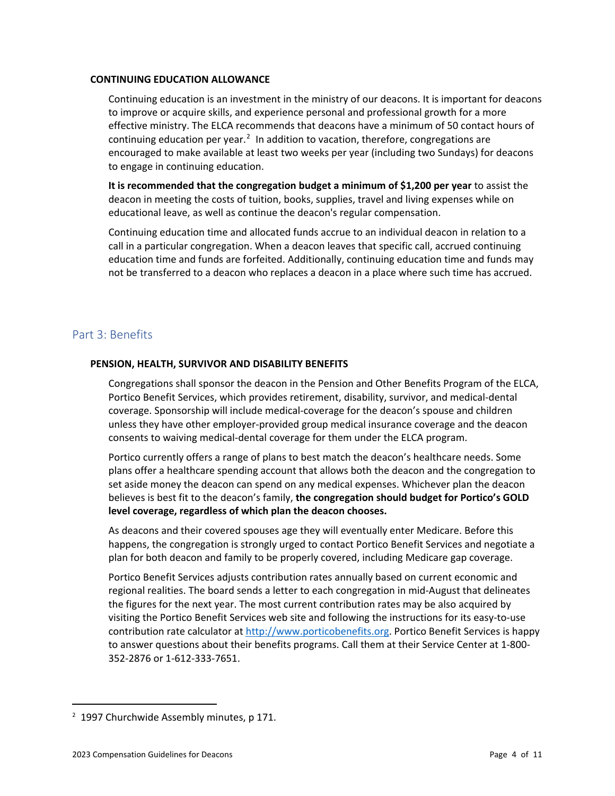### **CONTINUING EDUCATION ALLOWANCE**

Continuing education is an investment in the ministry of our deacons. It is important for deacons to improve or acquire skills, and experience personal and professional growth for a more effective ministry. The ELCA recommends that deacons have a minimum of 50 contact hours of continuing education per year.<sup>[2](#page-3-0)</sup> In addition to vacation, therefore, congregations are encouraged to make available at least two weeks per year (including two Sundays) for deacons to engage in continuing education.

**It is recommended that the congregation budget a minimum of \$1,200 per year** to assist the deacon in meeting the costs of tuition, books, supplies, travel and living expenses while on educational leave, as well as continue the deacon's regular compensation.

Continuing education time and allocated funds accrue to an individual deacon in relation to a call in a particular congregation. When a deacon leaves that specific call, accrued continuing education time and funds are forfeited. Additionally, continuing education time and funds may not be transferred to a deacon who replaces a deacon in a place where such time has accrued.

### Part 3: Benefits

### **PENSION, HEALTH, SURVIVOR AND DISABILITY BENEFITS**

Congregations shall sponsor the deacon in the Pension and Other Benefits Program of the ELCA, Portico Benefit Services, which provides retirement, disability, survivor, and medical-dental coverage. Sponsorship will include medical-coverage for the deacon's spouse and children unless they have other employer-provided group medical insurance coverage and the deacon consents to waiving medical-dental coverage for them under the ELCA program.

Portico currently offers a range of plans to best match the deacon's healthcare needs. Some plans offer a healthcare spending account that allows both the deacon and the congregation to set aside money the deacon can spend on any medical expenses. Whichever plan the deacon believes is best fit to the deacon's family, **the congregation should budget for Portico's GOLD level coverage, regardless of which plan the deacon chooses.**

As deacons and their covered spouses age they will eventually enter Medicare. Before this happens, the congregation is strongly urged to contact Portico Benefit Services and negotiate a plan for both deacon and family to be properly covered, including Medicare gap coverage.

Portico Benefit Services adjusts contribution rates annually based on current economic and regional realities. The board sends a letter to each congregation in mid-August that delineates the figures for the next year. The most current contribution rates may be also acquired by visiting the Portico Benefit Services web site and following the instructions for its easy-to-use contribution rate calculator at [http://www.porticobenefits.org.](http://www.porticobenefits.org/) Portico Benefit Services is happy to answer questions about their benefits programs. Call them at their Service Center at 1-800- 352-2876 or 1-612-333-7651.

 $\overline{a}$ 

<span id="page-3-0"></span><sup>&</sup>lt;sup>2</sup> 1997 Churchwide Assembly minutes, p 171.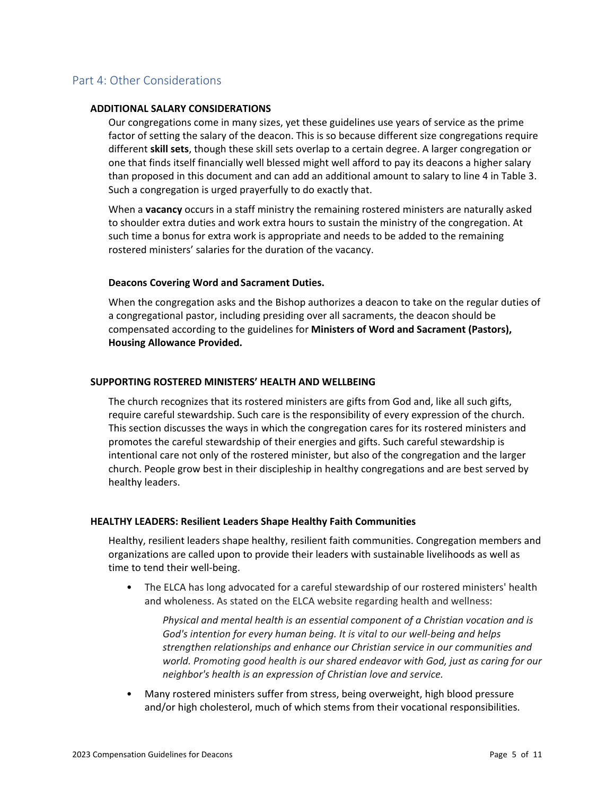### Part 4: Other Considerations

### **ADDITIONAL SALARY CONSIDERATIONS**

Our congregations come in many sizes, yet these guidelines use years of service as the prime factor of setting the salary of the deacon. This is so because different size congregations require different **skill sets**, though these skill sets overlap to a certain degree. A larger congregation or one that finds itself financially well blessed might well afford to pay its deacons a higher salary than proposed in this document and can add an additional amount to salary to line 4 in Table 3. Such a congregation is urged prayerfully to do exactly that.

When a **vacancy** occurs in a staff ministry the remaining rostered ministers are naturally asked to shoulder extra duties and work extra hours to sustain the ministry of the congregation. At such time a bonus for extra work is appropriate and needs to be added to the remaining rostered ministers' salaries for the duration of the vacancy.

### **Deacons Covering Word and Sacrament Duties.**

When the congregation asks and the Bishop authorizes a deacon to take on the regular duties of a congregational pastor, including presiding over all sacraments, the deacon should be compensated according to the guidelines for **Ministers of Word and Sacrament (Pastors), Housing Allowance Provided.**

### **SUPPORTING ROSTERED MINISTERS' HEALTH AND WELLBEING**

The church recognizes that its rostered ministers are gifts from God and, like all such gifts, require careful stewardship. Such care is the responsibility of every expression of the church. This section discusses the ways in which the congregation cares for its rostered ministers and promotes the careful stewardship of their energies and gifts. Such careful stewardship is intentional care not only of the rostered minister, but also of the congregation and the larger church. People grow best in their discipleship in healthy congregations and are best served by healthy leaders.

### **HEALTHY LEADERS: Resilient Leaders Shape Healthy Faith Communities**

Healthy, resilient leaders shape healthy, resilient faith communities. Congregation members and organizations are called upon to provide their leaders with sustainable livelihoods as well as time to tend their well-being.

• The ELCA has long advocated for a careful stewardship of our rostered ministers' health and wholeness. As stated on the ELCA website regarding health and wellness:

*Physical and mental health is an essential component of a Christian vocation and is God's intention for every human being. It is vital to our well-being and helps strengthen relationships and enhance our Christian service in our communities and world. Promoting good health is our shared endeavor with God, just as caring for our neighbor's health is an expression of Christian love and service.*

• Many rostered ministers suffer from stress, being overweight, high blood pressure and/or high cholesterol, much of which stems from their vocational responsibilities.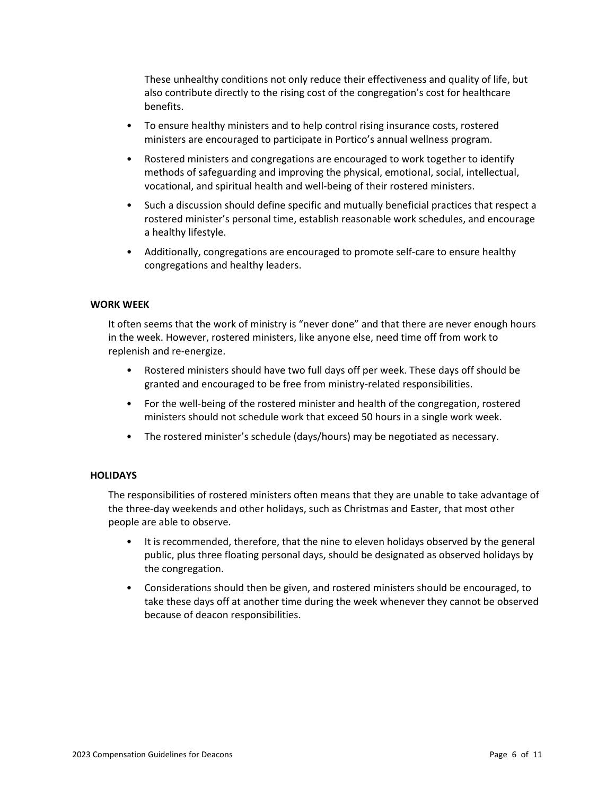These unhealthy conditions not only reduce their effectiveness and quality of life, but also contribute directly to the rising cost of the congregation's cost for healthcare benefits.

- To ensure healthy ministers and to help control rising insurance costs, rostered ministers are encouraged to participate in Portico's annual wellness program.
- Rostered ministers and congregations are encouraged to work together to identify methods of safeguarding and improving the physical, emotional, social, intellectual, vocational, and spiritual health and well-being of their rostered ministers.
- Such a discussion should define specific and mutually beneficial practices that respect a rostered minister's personal time, establish reasonable work schedules, and encourage a healthy lifestyle.
- Additionally, congregations are encouraged to promote self-care to ensure healthy congregations and healthy leaders.

### **WORK WEEK**

It often seems that the work of ministry is "never done" and that there are never enough hours in the week. However, rostered ministers, like anyone else, need time off from work to replenish and re-energize.

- Rostered ministers should have two full days off per week. These days off should be granted and encouraged to be free from ministry-related responsibilities.
- For the well-being of the rostered minister and health of the congregation, rostered ministers should not schedule work that exceed 50 hours in a single work week.
- The rostered minister's schedule (days/hours) may be negotiated as necessary.

### **HOLIDAYS**

The responsibilities of rostered ministers often means that they are unable to take advantage of the three-day weekends and other holidays, such as Christmas and Easter, that most other people are able to observe.

- It is recommended, therefore, that the nine to eleven holidays observed by the general public, plus three floating personal days, should be designated as observed holidays by the congregation.
- Considerations should then be given, and rostered ministers should be encouraged, to take these days off at another time during the week whenever they cannot be observed because of deacon responsibilities.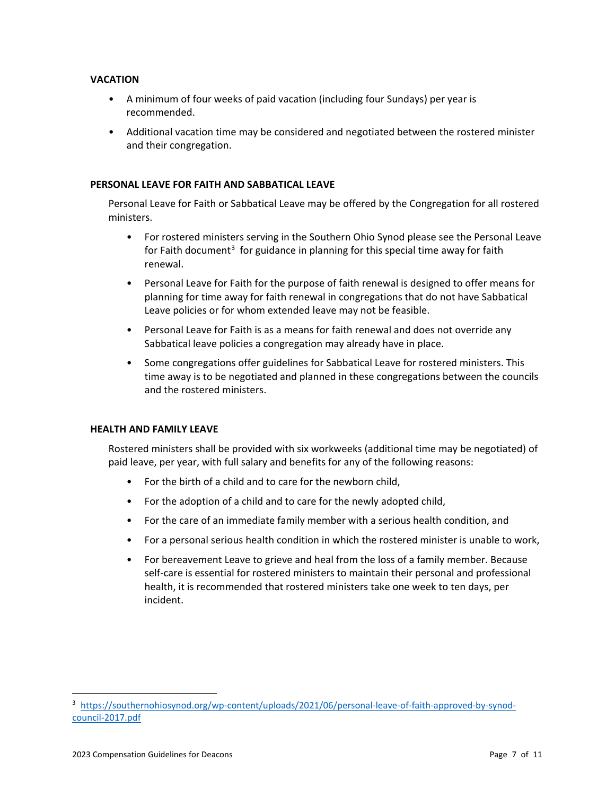### **VACATION**

- A minimum of four weeks of paid vacation (including four Sundays) per year is recommended.
- Additional vacation time may be considered and negotiated between the rostered minister and their congregation.

### **PERSONAL LEAVE FOR FAITH AND SABBATICAL LEAVE**

Personal Leave for Faith or Sabbatical Leave may be offered by the Congregation for all rostered ministers.

- For rostered ministers serving in the Southern Ohio Synod please see the Personal Leave for Faith document<sup>[3](#page-6-0)</sup> for guidance in planning for this special time away for faith renewal.
- Personal Leave for Faith for the purpose of faith renewal is designed to offer means for planning for time away for faith renewal in congregations that do not have Sabbatical Leave policies or for whom extended leave may not be feasible.
- Personal Leave for Faith is as a means for faith renewal and does not override any Sabbatical leave policies a congregation may already have in place.
- Some congregations offer guidelines for Sabbatical Leave for rostered ministers. This time away is to be negotiated and planned in these congregations between the councils and the rostered ministers.

### **HEALTH AND FAMILY LEAVE**

Rostered ministers shall be provided with six workweeks (additional time may be negotiated) of paid leave, per year, with full salary and benefits for any of the following reasons:

- For the birth of a child and to care for the newborn child,
- For the adoption of a child and to care for the newly adopted child,
- For the care of an immediate family member with a serious health condition, and
- For a personal serious health condition in which the rostered minister is unable to work,
- For bereavement Leave to grieve and heal from the loss of a family member. Because self-care is essential for rostered ministers to maintain their personal and professional health, it is recommended that rostered ministers take one week to ten days, per incident.

 $\overline{a}$ 

<span id="page-6-0"></span><sup>&</sup>lt;sup>3</sup> [https://southernohiosynod.org/wp-content/uploads/2021/06/personal-leave-of-faith-approved-by-synod](https://southernohiosynod.org/wp-content/uploads/2021/06/personal-leave-of-faith-approved-by-synod-council-2017.pdf)[council-2017.pdf](https://southernohiosynod.org/wp-content/uploads/2021/06/personal-leave-of-faith-approved-by-synod-council-2017.pdf)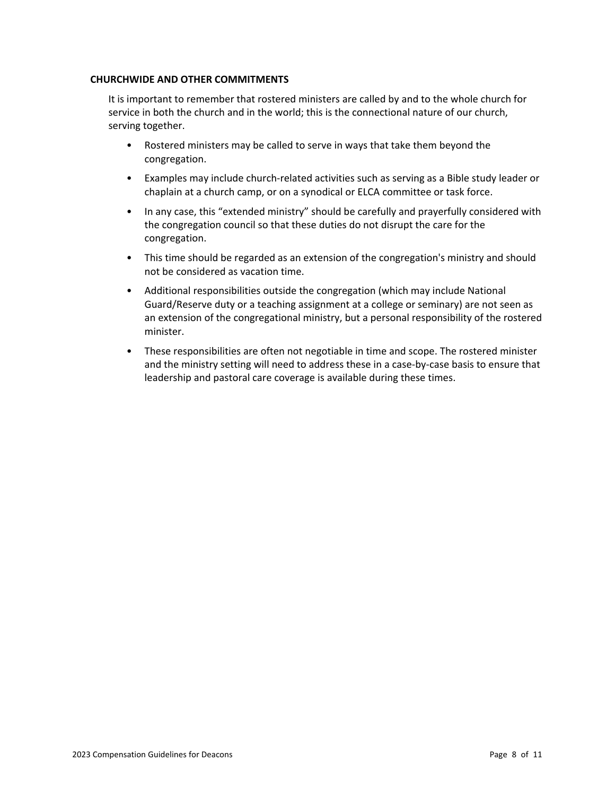### **CHURCHWIDE AND OTHER COMMITMENTS**

It is important to remember that rostered ministers are called by and to the whole church for service in both the church and in the world; this is the connectional nature of our church, serving together.

- Rostered ministers may be called to serve in ways that take them beyond the congregation.
- Examples may include church-related activities such as serving as a Bible study leader or chaplain at a church camp, or on a synodical or ELCA committee or task force.
- In any case, this "extended ministry" should be carefully and prayerfully considered with the congregation council so that these duties do not disrupt the care for the congregation.
- This time should be regarded as an extension of the congregation's ministry and should not be considered as vacation time.
- Additional responsibilities outside the congregation (which may include National Guard/Reserve duty or a teaching assignment at a college or seminary) are not seen as an extension of the congregational ministry, but a personal responsibility of the rostered minister.
- These responsibilities are often not negotiable in time and scope. The rostered minister and the ministry setting will need to address these in a case-by-case basis to ensure that leadership and pastoral care coverage is available during these times.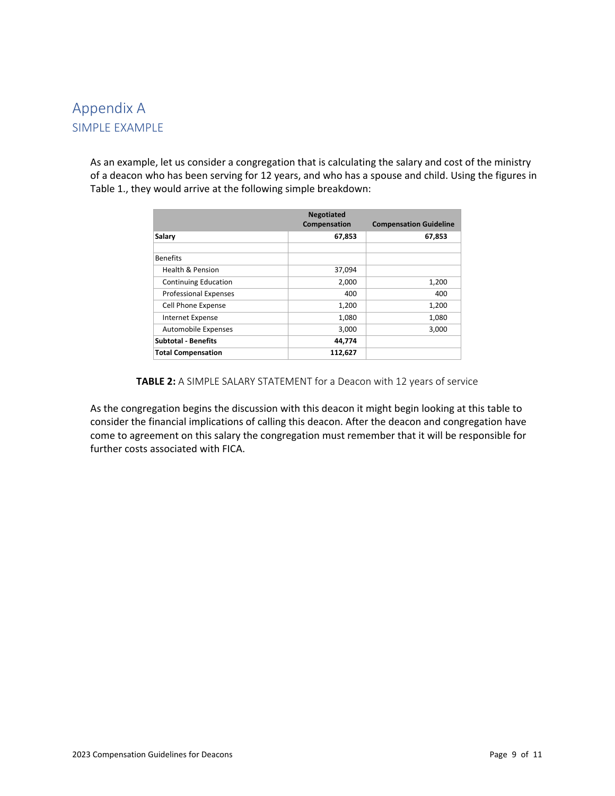## Appendix A SIMPLE EXAMPLE

As an example, let us consider a congregation that is calculating the salary and cost of the ministry of a deacon who has been serving for 12 years, and who has a spouse and child. Using the figures in Table 1., they would arrive at the following simple breakdown:

|                              | <b>Negotiated</b><br>Compensation | <b>Compensation Guideline</b> |  |
|------------------------------|-----------------------------------|-------------------------------|--|
| Salary                       | 67,853                            | 67,853                        |  |
| <b>Benefits</b>              |                                   |                               |  |
| <b>Health &amp; Pension</b>  | 37,094                            |                               |  |
| <b>Continuing Education</b>  | 2,000                             | 1,200                         |  |
| <b>Professional Expenses</b> | 400                               | 400                           |  |
| Cell Phone Expense           | 1,200                             | 1,200                         |  |
| Internet Expense             | 1,080                             | 1,080                         |  |
| Automobile Expenses          | 3,000                             | 3,000                         |  |
| <b>Subtotal - Benefits</b>   | 44,774                            |                               |  |
| <b>Total Compensation</b>    | 112.627                           |                               |  |

### **TABLE 2:** A SIMPLE SALARY STATEMENT for a Deacon with 12 years of service

As the congregation begins the discussion with this deacon it might begin looking at this table to consider the financial implications of calling this deacon. After the deacon and congregation have come to agreement on this salary the congregation must remember that it will be responsible for further costs associated with FICA.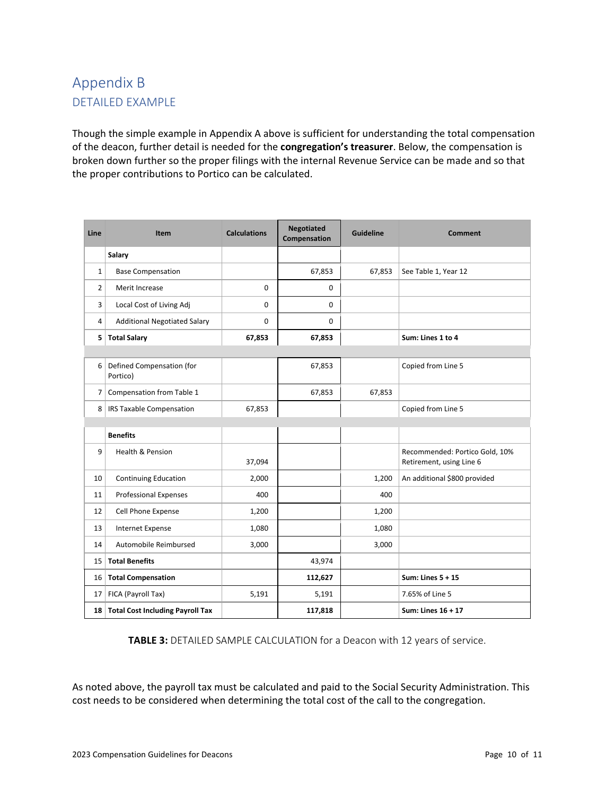# Appendix B DETAILED EXAMPLE

Though the simple example in Appendix A above is sufficient for understanding the total compensation of the deacon, further detail is needed for the **congregation's treasurer**. Below, the compensation is broken down further so the proper filings with the internal Revenue Service can be made and so that the proper contributions to Portico can be calculated.

| Line           | <b>Item</b>                             | <b>Calculations</b> | <b>Negotiated</b><br>Compensation | <b>Guideline</b> | <b>Comment</b>                                             |
|----------------|-----------------------------------------|---------------------|-----------------------------------|------------------|------------------------------------------------------------|
|                | Salary                                  |                     |                                   |                  |                                                            |
| $\mathbf{1}$   | <b>Base Compensation</b>                |                     | 67,853                            | 67,853           | See Table 1, Year 12                                       |
| $\overline{2}$ | Merit Increase                          | $\mathbf 0$         | $\mathbf 0$                       |                  |                                                            |
| 3              | Local Cost of Living Adj                | $\mathbf 0$         | $\mathbf 0$                       |                  |                                                            |
| 4              | <b>Additional Negotiated Salary</b>     | $\mathbf{0}$        | $\mathbf 0$                       |                  |                                                            |
| 5              | <b>Total Salary</b>                     | 67,853              | 67,853                            |                  | Sum: Lines 1 to 4                                          |
|                |                                         |                     |                                   |                  |                                                            |
| 6              | Defined Compensation (for<br>Portico)   |                     | 67,853                            |                  | Copied from Line 5                                         |
| 7              | Compensation from Table 1               |                     | 67,853                            | 67,853           |                                                            |
| 8              | <b>IRS Taxable Compensation</b>         | 67,853              |                                   |                  | Copied from Line 5                                         |
|                |                                         |                     |                                   |                  |                                                            |
|                | <b>Benefits</b>                         |                     |                                   |                  |                                                            |
| 9              | Health & Pension                        | 37,094              |                                   |                  | Recommended: Portico Gold, 10%<br>Retirement, using Line 6 |
| 10             | <b>Continuing Education</b>             | 2,000               |                                   | 1,200            | An additional \$800 provided                               |
| 11             | <b>Professional Expenses</b>            | 400                 |                                   | 400              |                                                            |
| 12             | Cell Phone Expense                      | 1,200               |                                   | 1,200            |                                                            |
| 13             | <b>Internet Expense</b>                 | 1,080               |                                   | 1,080            |                                                            |
| 14             | Automobile Reimbursed                   | 3,000               |                                   | 3,000            |                                                            |
| 15             | <b>Total Benefits</b>                   |                     | 43,974                            |                  |                                                            |
| 16             | <b>Total Compensation</b>               |                     | 112,627                           |                  | Sum: Lines $5 + 15$                                        |
| 17             | FICA (Payroll Tax)                      | 5,191               | 5,191                             |                  | 7.65% of Line 5                                            |
| 18             | <b>Total Cost Including Payroll Tax</b> |                     | 117,818                           |                  | Sum: Lines 16 + 17                                         |

**TABLE 3:** DETAILED SAMPLE CALCULATION for a Deacon with 12 years of service.

As noted above, the payroll tax must be calculated and paid to the Social Security Administration. This cost needs to be considered when determining the total cost of the call to the congregation.